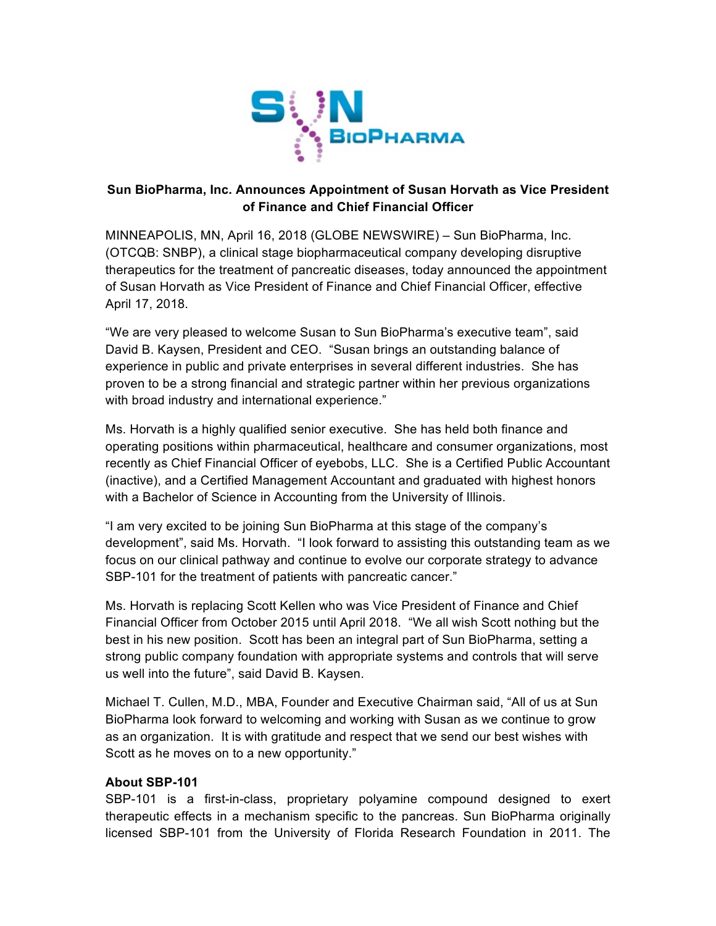

## **Sun BioPharma, Inc. Announces Appointment of Susan Horvath as Vice President of Finance and Chief Financial Officer**

MINNEAPOLIS, MN, April 16, 2018 (GLOBE NEWSWIRE) – Sun BioPharma, Inc. (OTCQB: SNBP), a clinical stage biopharmaceutical company developing disruptive therapeutics for the treatment of pancreatic diseases, today announced the appointment of Susan Horvath as Vice President of Finance and Chief Financial Officer, effective April 17, 2018.

"We are very pleased to welcome Susan to Sun BioPharma's executive team", said David B. Kaysen, President and CEO. "Susan brings an outstanding balance of experience in public and private enterprises in several different industries. She has proven to be a strong financial and strategic partner within her previous organizations with broad industry and international experience."

Ms. Horvath is a highly qualified senior executive. She has held both finance and operating positions within pharmaceutical, healthcare and consumer organizations, most recently as Chief Financial Officer of eyebobs, LLC. She is a Certified Public Accountant (inactive), and a Certified Management Accountant and graduated with highest honors with a Bachelor of Science in Accounting from the University of Illinois.

"I am very excited to be joining Sun BioPharma at this stage of the company's development", said Ms. Horvath. "I look forward to assisting this outstanding team as we focus on our clinical pathway and continue to evolve our corporate strategy to advance SBP-101 for the treatment of patients with pancreatic cancer."

Ms. Horvath is replacing Scott Kellen who was Vice President of Finance and Chief Financial Officer from October 2015 until April 2018. "We all wish Scott nothing but the best in his new position. Scott has been an integral part of Sun BioPharma, setting a strong public company foundation with appropriate systems and controls that will serve us well into the future", said David B. Kaysen.

Michael T. Cullen, M.D., MBA, Founder and Executive Chairman said, "All of us at Sun BioPharma look forward to welcoming and working with Susan as we continue to grow as an organization. It is with gratitude and respect that we send our best wishes with Scott as he moves on to a new opportunity."

## **About SBP-101**

SBP-101 is a first-in-class, proprietary polyamine compound designed to exert therapeutic effects in a mechanism specific to the pancreas. Sun BioPharma originally licensed SBP-101 from the University of Florida Research Foundation in 2011. The